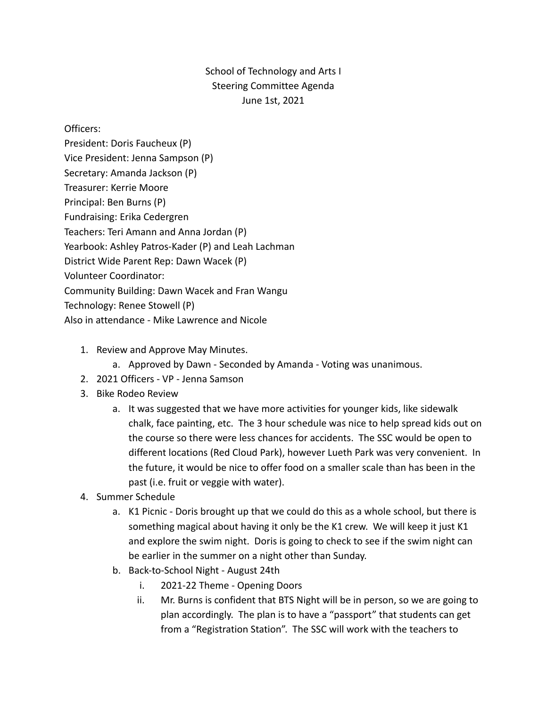## School of Technology and Arts I Steering Committee Agenda June 1st, 2021

Officers:

- President: Doris Faucheux (P) Vice President: Jenna Sampson (P) Secretary: Amanda Jackson (P) Treasurer: Kerrie Moore Principal: Ben Burns (P) Fundraising: Erika Cedergren Teachers: Teri Amann and Anna Jordan (P) Yearbook: Ashley Patros-Kader (P) and Leah Lachman District Wide Parent Rep: Dawn Wacek (P) Volunteer Coordinator: Community Building: Dawn Wacek and Fran Wangu Technology: Renee Stowell (P) Also in attendance - Mike Lawrence and Nicole
	- 1. Review and Approve May Minutes.
		- a. Approved by Dawn Seconded by Amanda Voting was unanimous.
	- 2. 2021 Officers VP Jenna Samson
	- 3. Bike Rodeo Review
		- a. It was suggested that we have more activities for younger kids, like sidewalk chalk, face painting, etc. The 3 hour schedule was nice to help spread kids out on the course so there were less chances for accidents. The SSC would be open to different locations (Red Cloud Park), however Lueth Park was very convenient. In the future, it would be nice to offer food on a smaller scale than has been in the past (i.e. fruit or veggie with water).
	- 4. Summer Schedule
		- a. K1 Picnic Doris brought up that we could do this as a whole school, but there is something magical about having it only be the K1 crew. We will keep it just K1 and explore the swim night. Doris is going to check to see if the swim night can be earlier in the summer on a night other than Sunday.
		- b. Back-to-School Night August 24th
			- i. 2021-22 Theme Opening Doors
			- ii. Mr. Burns is confident that BTS Night will be in person, so we are going to plan accordingly. The plan is to have a "passport" that students can get from a "Registration Station". The SSC will work with the teachers to